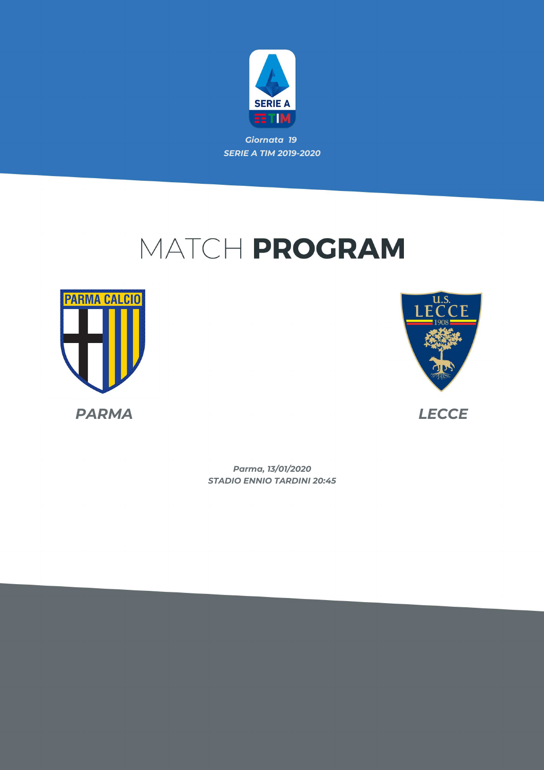

# MATCH PROGRAM





*STADIO ENNIO TARDINI 20:45 Parma, 13/01/2020*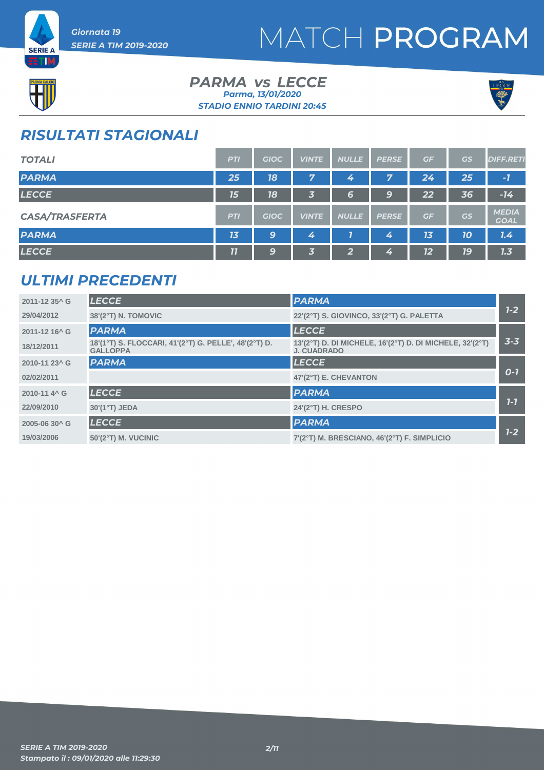



**ETIM** 

#### *PARMA LECCE vs STADIO ENNIO TARDINI 20:45 Parma, 13/01/2020*



### *RISULTATI STAGIONALI*

| <b>TOTALI</b>         | <b>PTI</b> | <b>GIOC</b> | <b>VINTE</b> | <b>NULLE</b>            | <b>PERSE</b> | GF | GS | <b>DIFF.RETI</b>            |
|-----------------------|------------|-------------|--------------|-------------------------|--------------|----|----|-----------------------------|
| <b>PARMA</b>          | 25         | 18          | 7            | 4                       | 7            | 24 | 25 | $-7$                        |
| <b>LECCE</b>          | 15         | 18          | 3            | 6                       | 9            | 22 | 36 | $-14$                       |
| <b>CASA/TRASFERTA</b> | <b>PTI</b> | <b>GIOC</b> | <b>VINTE</b> | <b>NULLE</b>            | <b>PERSE</b> | GF | GS | <b>MEDIA</b><br><b>GOAL</b> |
| <b>PARMA</b>          | 13         | 9           | 4            |                         | 4            | 13 | 10 | 7.4                         |
| <b>LECCE</b>          | 11         | 9           | 3            | $\overline{\mathbf{2}}$ | 4            | 12 | 19 | 1.3                         |

### *ULTIMI PRECEDENTI*

| 2011-12 35^ G             | <b>LECCE</b>                                                             | <b>PARMA</b>                                                                   |         |
|---------------------------|--------------------------------------------------------------------------|--------------------------------------------------------------------------------|---------|
| 29/04/2012                | 38'(2°T) N. TOMOVIC                                                      | 22'(2°T) S. GIOVINCO, 33'(2°T) G. PALETTA                                      | $1 - 2$ |
| 2011-12 16 <sup>^</sup> G | <b>PARMA</b>                                                             | <b>LECCE</b>                                                                   |         |
| 18/12/2011                | 18'(1°T) S. FLOCCARI, 41'(2°T) G. PELLE', 48'(2°T) D.<br><b>GALLOPPA</b> | 13'(2°T) D. DI MICHELE, 16'(2°T) D. DI MICHELE, 32'(2°T)<br><b>J. CUADRADO</b> | $3 - 3$ |
| 2010-11 23^ G             | <b>PARMA</b>                                                             | <b>LECCE</b>                                                                   |         |
| 02/02/2011                |                                                                          | 47'(2°T) E. CHEVANTON                                                          | $O-I$   |
| 2010-11 4 <sup>^</sup> G  | <b>LECCE</b>                                                             | <b>PARMA</b>                                                                   |         |
| 22/09/2010                | 30'(1°T) JEDA                                                            | 24'(2°T) H. CRESPO                                                             | $7-7$   |
| 2005-06 30^ G             | <b>LECCE</b>                                                             | <b>PARMA</b>                                                                   |         |
| 19/03/2006                | $50'(2°T)$ M. VUCINIC                                                    | 7'(2°T) M. BRESCIANO, 46'(2°T) F. SIMPLICIO                                    | $1 - 2$ |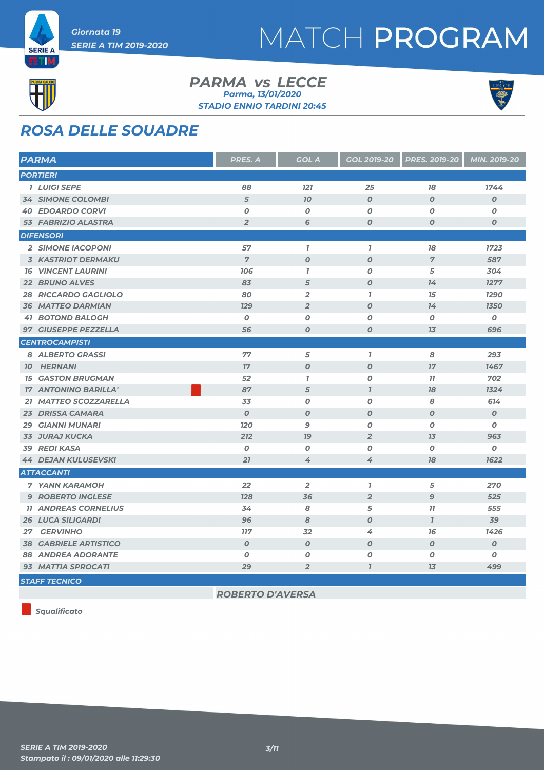



#### *PARMA LECCE vs STADIO ENNIO TARDINI 20:45 Parma, 13/01/2020*



## *ROSA DELLE SQUADRE*

| <b>PARMA</b>                 | PRES. A          | <b>GOL A</b>     | GOL 2019-20      | <b>PRES. 2019-20</b> | MIN. 2019-20     |
|------------------------------|------------------|------------------|------------------|----------------------|------------------|
| <b>PORTIERI</b>              |                  |                  |                  |                      |                  |
| <b>1 LUIGI SEPE</b>          | 88               | 121              | 25               | 78                   | 1744             |
| <b>34 SIMONE COLOMBI</b>     | 5                | 70               | $\boldsymbol{O}$ | $\boldsymbol{O}$     | $\boldsymbol{O}$ |
| <b>40 EDOARDO CORVI</b>      | $\boldsymbol{O}$ | $\boldsymbol{O}$ | $\boldsymbol{o}$ | $\boldsymbol{O}$     | $\boldsymbol{o}$ |
| 53 FABRIZIO ALASTRA          | $\overline{2}$   | 6                | $\boldsymbol{o}$ | $\boldsymbol{O}$     | $\boldsymbol{o}$ |
| <b>DIFENSORI</b>             |                  |                  |                  |                      |                  |
| 2 SIMONE IACOPONI            | 57               | $\mathbf{I}$     | $\overline{1}$   | 78                   | 1723             |
| <b>3 KASTRIOT DERMAKU</b>    | $\overline{7}$   | $\boldsymbol{O}$ | $\boldsymbol{O}$ | $\overline{7}$       | 587              |
| <b>16 VINCENT LAURINI</b>    | 706              | $\mathbf{7}$     | $\boldsymbol{o}$ | 5                    | 304              |
| 22 BRUNO ALVES               | 83               | 5                | $\boldsymbol{O}$ | 14                   | 1277             |
| <b>28 RICCARDO GAGLIOLO</b>  | 80               | $\overline{2}$   | $\overline{1}$   | 15                   | 1290             |
| <b>36 MATTEO DARMIAN</b>     | <b>129</b>       | $\overline{2}$   | $\boldsymbol{O}$ | 14                   | <b>1350</b>      |
| <b>41 BOTOND BALOGH</b>      | $\boldsymbol{O}$ | 0                | $\boldsymbol{O}$ | $\boldsymbol{O}$     | $\boldsymbol{o}$ |
| 97 GIUSEPPE PEZZELLA         | 56               | $\boldsymbol{O}$ | $\boldsymbol{0}$ | 13                   | 696              |
| <b>CENTROCAMPISTI</b>        |                  |                  |                  |                      |                  |
| 8 ALBERTO GRASSI             | 77               | 5                | $\mathbf{I}$     | 8                    | 293              |
| <b>10 HERNANI</b>            | 17               | $\boldsymbol{o}$ | $\boldsymbol{o}$ | 17                   | 1467             |
| <b>15 GASTON BRUGMAN</b>     | 52               | $\mathbf{I}$     | $\boldsymbol{0}$ | 77                   | 702              |
| <b>17 ANTONINO BARILLA'</b>  | 87               | 5                | $\overline{1}$   | 78                   | 1324             |
| 21 MATTEO SCOZZARELLA        | 33               | $\boldsymbol{O}$ | $\boldsymbol{o}$ | 8                    | 614              |
| 23 DRISSA CAMARA             | $\boldsymbol{O}$ | $\boldsymbol{o}$ | $\boldsymbol{0}$ | $\boldsymbol{O}$     | $\boldsymbol{o}$ |
| <b>29 GIANNI MUNARI</b>      | <b>120</b>       | $\mathbf{9}$     | $\boldsymbol{o}$ | $\boldsymbol{o}$     | 0                |
| <b>33 JURAJ KUCKA</b>        | 212              | 79               | $\overline{2}$   | 7 <sub>3</sub>       | 963              |
| 39 REDI KASA                 | $\boldsymbol{0}$ | $\boldsymbol{O}$ | $\boldsymbol{o}$ | $\boldsymbol{o}$     | $\boldsymbol{o}$ |
| <b>44 DEJAN KULUSEVSKI</b>   | 21               | 4                | 4                | 78                   | 1622             |
| <b>ATTACCANTI</b>            |                  |                  |                  |                      |                  |
| <b>7 YANN KARAMOH</b>        | 22               | $\overline{2}$   | $\mathbf{I}$     | 5                    | 270              |
| <b>9 ROBERTO INGLESE</b>     | 128              | 36               | $\overline{2}$   | $\mathbf{9}$         | 525              |
| <b>11 ANDREAS CORNELIUS</b>  | 34               | 8                | 5                | 77                   | 555              |
| <b>26 LUCA SILIGARDI</b>     | 96               | 8                | $\boldsymbol{O}$ | $\mathbf{I}$         | 39               |
| 27 GERVINHO                  | <b>117</b>       | 32               | 4                | 76                   | 1426             |
| <b>38 GABRIELE ARTISTICO</b> | $\boldsymbol{O}$ | $\boldsymbol{O}$ | $\boldsymbol{O}$ | $\boldsymbol{O}$     | $\boldsymbol{o}$ |
| <b>88 ANDREA ADORANTE</b>    | $\boldsymbol{O}$ | $\boldsymbol{O}$ | $\boldsymbol{O}$ | $\boldsymbol{O}$     | $\boldsymbol{o}$ |
| 93 MATTIA SPROCATI           | 29               | $\overline{2}$   | $\overline{I}$   | 13                   | 499              |
| <b>STAFF TECNICO</b>         |                  |                  |                  |                      |                  |

*ROBERTO D'AVERSA*

*Squalificato*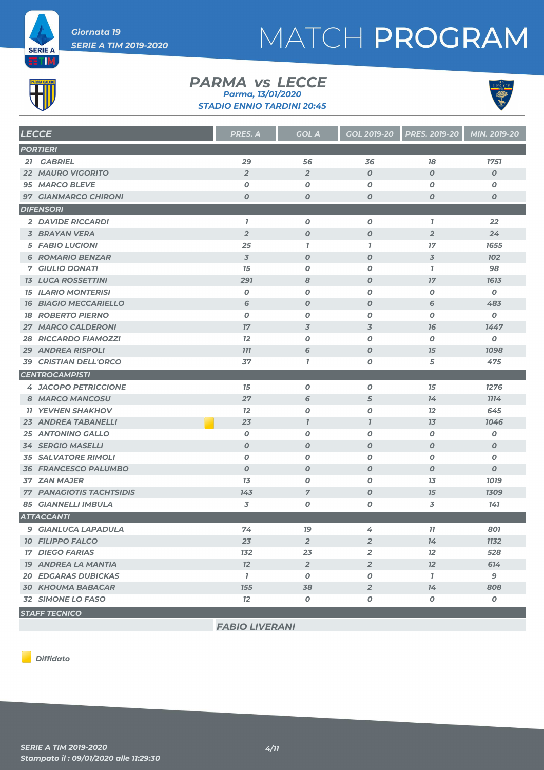

# MATCH PROGRAM



#### *PARMA LECCE vs STADIO ENNIO TARDINI 20:45 Parma, 13/01/2020*



| <b>LECCE</b>                    | PRES. A                  | <b>GOL A</b>     | GOL 2019-20      | <b>PRES. 2019-20</b> | MIN. 2019-20     |
|---------------------------------|--------------------------|------------------|------------------|----------------------|------------------|
| <b>PORTIERI</b>                 |                          |                  |                  |                      |                  |
| 21 GABRIEL                      | 29                       | 56               | 36               | 78                   | 1751             |
| <b>22 MAURO VIGORITO</b>        | $\overline{2}$           | $\overline{2}$   | $\boldsymbol{0}$ | $\boldsymbol{O}$     | $\boldsymbol{0}$ |
| <b>95 MARCO BLEVE</b>           | 0                        | $\boldsymbol{O}$ | 0                | 0                    | 0                |
| <b>97 GIANMARCO CHIRONI</b>     | $\boldsymbol{O}$         | $\boldsymbol{o}$ | O                | 0                    | $\boldsymbol{o}$ |
| <b>DIFENSORI</b>                |                          |                  |                  |                      |                  |
| <b>2 DAVIDE RICCARDI</b>        | $\mathbf{I}$             | $\pmb{o}$        | 0                | $\mathbf{7}$         | 22               |
| <b>3 BRAYAN VERA</b>            | $\overline{2}$           | $\boldsymbol{O}$ | $\boldsymbol{o}$ | $\overline{2}$       | 24               |
| <b>5 FABIO LUCIONI</b>          | 25                       | $\mathbf{7}$     | $\mathbf{I}$     | 17                   | 1655             |
| <b>6 ROMARIO BENZAR</b>         | $\overline{\mathcal{S}}$ | $\boldsymbol{O}$ | $\boldsymbol{o}$ | 3                    | <b>102</b>       |
| <b>7 GIULIO DONATI</b>          | 15                       | 0                | 0                | $\mathbf{7}$         | 98               |
| <b>13 LUCA ROSSETTINI</b>       | 291                      | 8                | $\boldsymbol{o}$ | 17                   | 1613             |
| <b>15 ILARIO MONTERISI</b>      | 0                        | $\boldsymbol{O}$ | 0                | $\boldsymbol{O}$     | O                |
| <b>16 BIAGIO MECCARIELLO</b>    | 6                        | $\boldsymbol{O}$ | $\boldsymbol{o}$ | 6                    | 483              |
| <b>18 ROBERTO PIERNO</b>        | 0                        | 0                | 0                | 0                    | $\boldsymbol{o}$ |
| <b>27 MARCO CALDERONI</b>       | 17                       | 3                | 3                | 76                   | 1447             |
| <b>28 RICCARDO FIAMOZZI</b>     | 12                       | $\boldsymbol{O}$ | 0                | $\boldsymbol{O}$     | O                |
| <b>29 ANDREA RISPOLI</b>        | <b>777</b>               | 6                | $\boldsymbol{O}$ | 15                   | 1098             |
| <b>39 CRISTIAN DELL'ORCO</b>    | 37                       | $\mathbf{7}$     | O                | 5                    | 475              |
| <b>CENTROCAMPISTI</b>           |                          |                  |                  |                      |                  |
| <b>4 JACOPO PETRICCIONE</b>     | 15                       | $\pmb{o}$        | $\boldsymbol{o}$ | 15                   | 1276             |
| 8 MARCO MANCOSU                 | 27                       | 6                | 5                | 14                   | <b>1114</b>      |
| <b>11 YEVHEN SHAKHOV</b>        | 12                       | $\pmb{o}$        | $\boldsymbol{o}$ | 12                   | 645              |
| <b>23 ANDREA TABANELLI</b>      | 23                       | $\overline{I}$   | $\mathbf{7}$     | 13                   | 1046             |
| <b>25 ANTONINO GALLO</b>        | $\boldsymbol{0}$         | $\pmb{o}$        | O                | O                    | O                |
| <b>34 SERGIO MASELLI</b>        | $\boldsymbol{0}$         | $\boldsymbol{0}$ | $\boldsymbol{O}$ | $\boldsymbol{0}$     | $\boldsymbol{O}$ |
| <b>35 SALVATORE RIMOLI</b>      | $\pmb{o}$                | $\pmb{o}$        | 0                | O                    | O                |
| <b>36 FRANCESCO PALUMBO</b>     | $\boldsymbol{0}$         | $\boldsymbol{0}$ | $\boldsymbol{O}$ | $\boldsymbol{0}$     | $\boldsymbol{o}$ |
| <b>37 ZAN MAJER</b>             | 13                       | 0                | 0                | 13                   | 1019             |
| <b>77 PANAGIOTIS TACHTSIDIS</b> | 143                      | $\overline{7}$   | $\boldsymbol{O}$ | 15                   | 1309             |
| <b>85 GIANNELLI IMBULA</b>      | 3                        | $\pmb{o}$        | O                | 3                    | 141              |
| <b>ATTACCANTI</b>               |                          |                  |                  |                      |                  |
| <b>9 GIANLUCA LAPADULA</b>      | 74                       | 79               | 4                | 11                   | 801              |
| <b>10 FILIPPO FALCO</b>         | 23                       | $\overline{2}$   | $\overline{2}$   | 14                   | <b>1132</b>      |
| <b>17 DIEGO FARIAS</b>          | 132                      | 23               | 2                | 12                   | 528              |
| <b>19 ANDREA LA MANTIA</b>      | 12                       | $\overline{2}$   | $\overline{2}$   | 12                   | 614              |
| <b>20 EDGARAS DUBICKAS</b>      | $\mathbf{I}$             | 0                | 0                | $\mathbf{7}$         | 9                |
| <b>30 KHOUMA BABACAR</b>        | <b>155</b>               | 38               | $\overline{2}$   | 14                   | 808              |
| 32 SIMONE LO FASO               | 12                       | $\pmb{o}$        | ο                | 0                    | 0                |
| <b>STAFF TECNICO</b>            |                          |                  |                  |                      |                  |

*FABIO LIVERANI*

*Diffidato*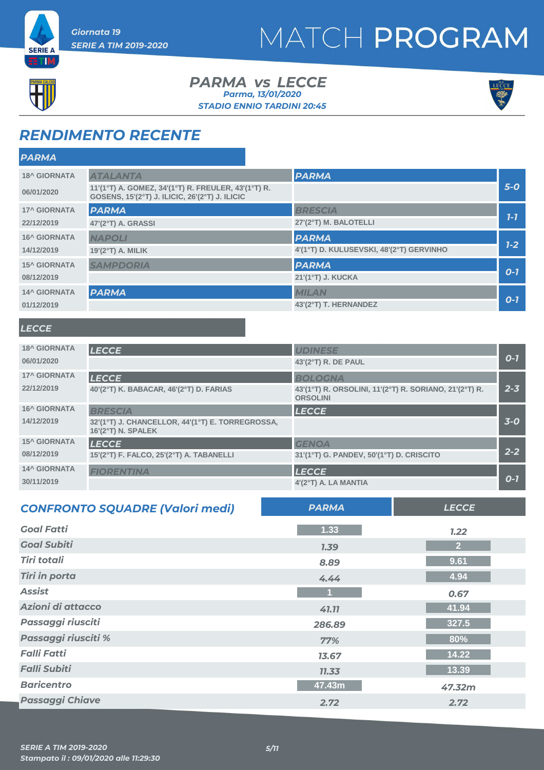



**ETM** 

#### *PARMA LECCE vs STADIO ENNIO TARDINI 20:45 Parma, 13/01/2020*



### *RENDIMENTO RECENTE*

| <b>PARMA</b>                                                                                                        |                     |                                          |         |
|---------------------------------------------------------------------------------------------------------------------|---------------------|------------------------------------------|---------|
| <b>18^ GIORNATA</b>                                                                                                 | <b>ATALANTA</b>     | <b>PARMA</b>                             |         |
| 11'(1°T) A. GOMEZ, 34'(1°T) R. FREULER, 43'(1°T) R.<br>06/01/2020<br>GOSENS, 15'(2°T) J. ILICIC, 26'(2°T) J. ILICIC |                     |                                          | $5-0$   |
| <b>17^ GIORNATA</b>                                                                                                 | <b>PARMA</b>        | <b>BRESCIA</b>                           |         |
| 22/12/2019                                                                                                          | 47'(2°T) A. GRASSI  | 27'(2°T) M. BALOTELLI                    | $7 - 7$ |
| <b>16^ GIORNATA</b>                                                                                                 | <b>NAPOLI</b>       | <b>PARMA</b>                             |         |
| 14/12/2019                                                                                                          | $19'(2°T)$ A. MILIK | 4'(1°T) D. KULUSEVSKI, 48'(2°T) GERVINHO | $1 - 2$ |
| <b>15^ GIORNATA</b>                                                                                                 | <b>SAMPDORIA</b>    | <b>PARMA</b>                             |         |
| 08/12/2019                                                                                                          |                     | 21'(1°T) J. KUCKA                        | $O-7$   |
| <b>14^ GIORNATA</b>                                                                                                 | <b>PARMA</b>        | <b>MILAN</b>                             |         |
| 01/12/2019                                                                                                          |                     | 43'(2°T) T. HERNANDEZ                    | $O-7$   |

### *LECCE*

| <b>18^ GIORNATA</b> | <b>LECCE</b>                                                             | <b>UDINESE</b>                                                            |         |
|---------------------|--------------------------------------------------------------------------|---------------------------------------------------------------------------|---------|
| 06/01/2020          |                                                                          | 43'(2°T) R. DE PAUL                                                       | $O - 7$ |
| <b>17^ GIORNATA</b> | <b>LECCE</b>                                                             | <b>BOLOGNA</b>                                                            |         |
| 22/12/2019          | 40'(2°T) K. BABACAR, 46'(2°T) D. FARIAS                                  | 43'(1°T) R. ORSOLINI, 11'(2°T) R. SORIANO, 21'(2°T) R.<br><b>ORSOLINI</b> | $2 - 3$ |
| <b>16^ GIORNATA</b> | <b>BRESCIA</b>                                                           | <b>LECCE</b>                                                              |         |
| 14/12/2019          | 32'(1°T) J. CHANCELLOR, 44'(1°T) E. TORREGROSSA,<br>$16'(2°T)$ N. SPALEK |                                                                           | $3-0$   |
| <b>15^ GIORNATA</b> | <b>LECCE</b>                                                             | <b>GENOA</b>                                                              |         |
| 08/12/2019          | 15'(2°T) F. FALCO, 25'(2°T) A. TABANELLI                                 | 31'(1°T) G. PANDEV, 50'(1°T) D. CRISCITO                                  | $2 - 2$ |
| <b>14^ GIORNATA</b> | <b>FIORENTINA</b>                                                        | <b>LECCE</b>                                                              |         |
| 30/11/2019          |                                                                          | 4'(2°T) A. LA MANTIA                                                      | $O-7$   |

| <b>CONFRONTO SQUADRE (Valori medi)</b> | <b>PARMA</b> | <b>LECCE</b>   |
|----------------------------------------|--------------|----------------|
| <b>Goal Fatti</b>                      | 1.33         | 1.22           |
| <b>Goal Subiti</b>                     | 1.39         | $\overline{2}$ |
| <b>Tiri totali</b>                     | 8.89         | 9.61           |
| <b>Tiri in porta</b>                   | 4.44         | 4.94           |
| <b>Assist</b>                          |              | 0.67           |
| Azioni di attacco                      | 41.11        | 41.94          |
| Passaggi riusciti                      | 286.89       | 327.5          |
| Passaggi riusciti %                    | 77%          | 80%            |
| <b>Falli Fatti</b>                     | 13.67        | 14.22          |
| <b>Falli Subiti</b>                    | 11.33        | 13.39          |
| <b>Baricentro</b>                      | 47.43m       | 47.32m         |
| <b>Passaggi Chiave</b>                 | 2.72         | 2.72           |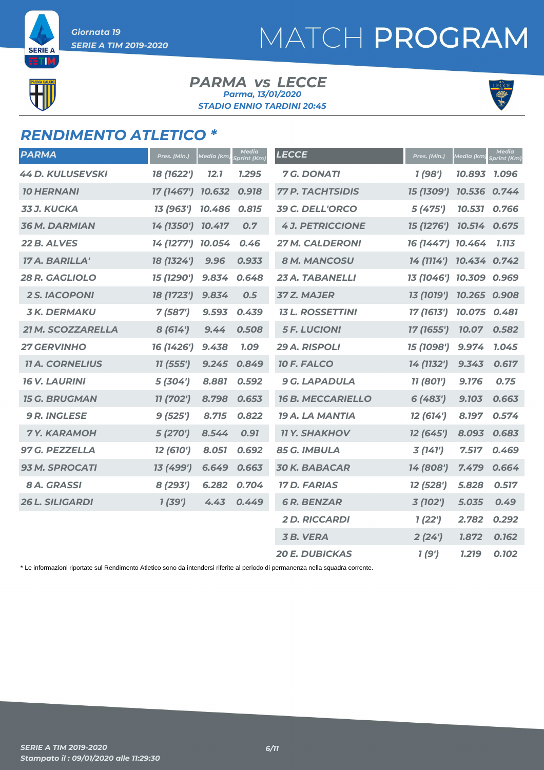

**SERIE A** 5 T D

#### *PARMA LECCE vs STADIO ENNIO TARDINI 20:45 Parma, 13/01/2020*



### *RENDIMENTO ATLETICO \**

| <b>PARMA</b>            | Pres. (Min.)      | <u>Media (km)</u> | <b>Media</b><br><b>Sprint</b> (Km) | <b>LECCE</b>             | Pres. (Min.)            | Media (km)   | Media<br>Sprint (Km) |
|-------------------------|-------------------|-------------------|------------------------------------|--------------------------|-------------------------|--------------|----------------------|
| <b>44 D. KULUSEVSKI</b> | 18 (1622')        | 12.1              | 1.295                              | <b>7 G. DONATI</b>       | 1(98')                  | 10.893       | 1.096                |
| <b>10 HERNANI</b>       | 17 (1467') 10.632 |                   | 0.918                              | <b>77 P. TACHTSIDIS</b>  | 15 (1309')              | 10.536 0.744 |                      |
| <b>33 J. KUCKA</b>      | 13 (963')         | 10.486            | 0.815                              | 39 C. DELL'ORCO          | 5(475')                 | 10.531       | 0.766                |
| <b>36 M. DARMIAN</b>    | 14 (1350') 10.417 |                   | 0.7                                | <b>4 J. PETRICCIONE</b>  | 15 (1276')              | 10.514       | 0.675                |
| 22 B. ALVES             | 14 (1277') 10.054 |                   | 0.46                               | <b>27 M. CALDERONI</b>   | 16 (1447') 10.464       |              | 1.113                |
| 17 A. BARILLA'          | 18 (1324')        | 9.96              | 0.933                              | <b>8 M. MANCOSU</b>      | 14 (1114') 10.434 0.742 |              |                      |
| 28 R. GAGLIOLO          | 15 (1290')        | 9.834             | 0.648                              | 23 A. TABANELLI          | 13 (1046') 10.309 0.969 |              |                      |
| <b>2 S. IACOPONI</b>    | 18 (1723')        | 9.834             | 0.5                                | <b>37 Z. MAJER</b>       | 13 (1019')              | 10.265 0.908 |                      |
| <b>3K. DERMAKU</b>      | 7(587)            | 9.593             | 0.439                              | <b>13 L. ROSSETTINI</b>  | 17 (1613')              | 10.075       | 0.481                |
| 21 M. SCOZZARELLA       | 8(614')           | 9.44              | 0.508                              | <b>5 F. LUCIONI</b>      | 17 (1655')              | 10.07        | 0.582                |
| <b>27 GERVINHO</b>      | 16 (1426')        | 9.438             | <b>7.09</b>                        | 29 A. RISPOLI            | 15 (1098')              | 9.974        | 1.045                |
| <b>11 A. CORNELIUS</b>  | 11(555')          | 9.245             | 0.849                              | 10 F. FALCO              | 14 (1132')              | 9.343        | 0.617                |
| <b>16 V. LAURINI</b>    | 5(304)            | 8.881             | 0.592                              | <b>9 G. LAPADULA</b>     | 11 (801')               | 9.176        | 0.75                 |
| <b>15 G. BRUGMAN</b>    | 11 (702')         | 8.798             | 0.653                              | <b>16 B. MECCARIELLO</b> | 6(483')                 | 9.103        | 0.663                |
| <b>9 R. INGLESE</b>     | 9(525')           | 8.715             | 0.822                              | <b>19 A. LA MANTIA</b>   | 12 (614')               | 8.197        | 0.574                |
| <b>7Y. KARAMOH</b>      | 5(270')           | 8.544             | 0.91                               | <b>11 Y. SHAKHOV</b>     | 12 (645')               | 8.093        | 0.683                |
| 97 G. PEZZELLA          | 12 (610')         | 8.051             | 0.692                              | 85 G. IMBULA             | 3(141')                 | 7.517        | 0.469                |
| <b>93 M. SPROCATI</b>   | 13 (499')         | 6.649             | 0.663                              | <b>30 K. BABACAR</b>     | 14 (808')               | 7.479        | 0.664                |
| 8 A. GRASSI             | 8 (293')          | 6.282             | 0.704                              | <b>17 D. FARIAS</b>      | 12 (528')               | 5.828        | 0.517                |
| <b>26 L. SILIGARDI</b>  | 1(39')            | 4.43              | 0.449                              | <b>6 R. BENZAR</b>       | 3 (102')                | 5.035        | 0.49                 |
|                         |                   |                   |                                    | <b>2D. RICCARDI</b>      | 1(22')                  | 2.782        | 0.292                |
|                         |                   |                   |                                    | <b>3B. VERA</b>          | 2(24')                  | 1.872        | 0.162                |
|                         |                   |                   |                                    | <b>20 E. DUBICKAS</b>    | 1(9')                   | 1.219        | 0.102                |

\* Le informazioni riportate sul Rendimento Atletico sono da intendersi riferite al periodo di permanenza nella squadra corrente.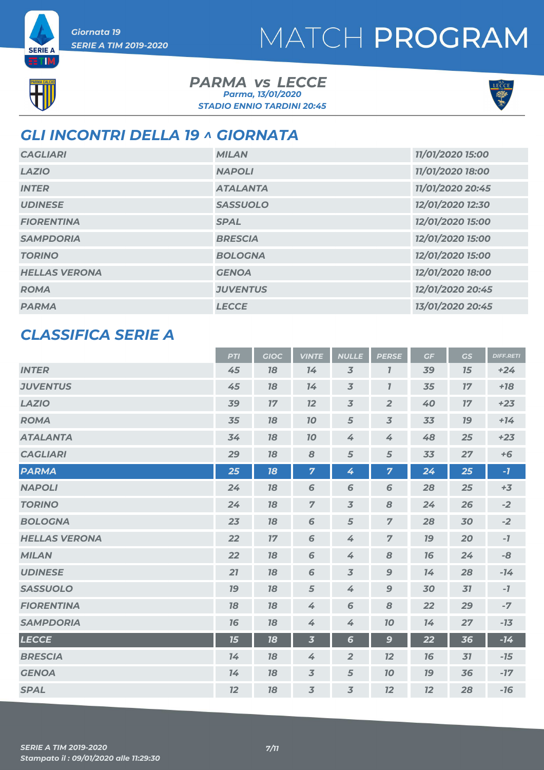



ETIM

#### *PARMA LECCE vs STADIO ENNIO TARDINI 20:45 Parma, 13/01/2020*



### *GLI INCONTRI DELLA 19 ^ GIORNATA*

| <b>CAGLIARI</b>      | <b>MILAN</b>    | 11/01/2020 15:00 |
|----------------------|-----------------|------------------|
| <b>LAZIO</b>         | <b>NAPOLI</b>   | 11/01/2020 18:00 |
| <b>INTER</b>         | <b>ATALANTA</b> | 11/01/2020 20:45 |
| <b>UDINESE</b>       | <b>SASSUOLO</b> | 12/01/2020 12:30 |
| <b>FIORENTINA</b>    | <b>SPAL</b>     | 12/01/2020 15:00 |
| <b>SAMPDORIA</b>     | <b>BRESCIA</b>  | 12/01/2020 15:00 |
| <b>TORINO</b>        | <b>BOLOGNA</b>  | 12/01/2020 15:00 |
| <b>HELLAS VERONA</b> | <b>GENOA</b>    | 12/01/2020 18:00 |
| <b>ROMA</b>          | <b>JUVENTUS</b> | 12/01/2020 20:45 |
| <b>PARMA</b>         | <b>LECCE</b>    | 13/01/2020 20:45 |

### *CLASSIFICA SERIE A*

|                      | <b>PTI</b> | <b>GIOC</b> | <b>VINTE</b>            | <b>NULLE</b>   | <b>PERSE</b>   | GF        | <b>GS</b> | <b>DIFF.RETI</b> |
|----------------------|------------|-------------|-------------------------|----------------|----------------|-----------|-----------|------------------|
| <b>INTER</b>         | 45         | 18          | 14                      | $\overline{3}$ | $\mathbf{7}$   | 39        | 15        | $+24$            |
| <b>JUVENTUS</b>      | 45         | 18          | 14                      | $\overline{3}$ | $\overline{I}$ | 35        | 17        | $+18$            |
| <b>LAZIO</b>         | 39         | 17          | 12                      | $\overline{3}$ | $\overline{2}$ | 40        | 17        | $+23$            |
| <b>ROMA</b>          | 35         | 18          | 10                      | 5              | $\overline{3}$ | 33        | 19        | $+14$            |
| <b>ATALANTA</b>      | 34         | 18          | 10                      | 4              | 4              | 48        | 25        | $+23$            |
| <b>CAGLIARI</b>      | 29         | 18          | 8                       | 5              | 5              | 33        | 27        | $+6$             |
| <b>PARMA</b>         | 25         | 18          | $\overline{7}$          | 4              | $\overline{7}$ | 24        | 25        | $-7$             |
| <b>NAPOLI</b>        | 24         | 18          | 6                       | 6              | 6              | 28        | 25        | $+3$             |
| <b>TORINO</b>        | 24         | 18          | $\overline{7}$          | $\overline{3}$ | 8              | 24        | 26        | $-2$             |
| <b>BOLOGNA</b>       | 23         | 18          | 6                       | 5              | $\overline{z}$ | 28        | 30        | $-2$             |
| <b>HELLAS VERONA</b> | 22         | 17          | 6                       | 4              | $\overline{7}$ | <b>19</b> | 20        | $-7$             |
| <b>MILAN</b>         | 22         | 18          | 6                       | 4              | 8              | 16        | 24        | -8               |
| <b>UDINESE</b>       | 21         | 78          | 6                       | $\overline{3}$ | $\mathbf{9}$   | 14        | 28        | $-14$            |
| <b>SASSUOLO</b>      | 19         | 18          | 5                       | 4              | $\mathbf{9}$   | 30        | 31        | $-7$             |
| <b>FIORENTINA</b>    | 78         | 18          | 4                       | 6              | 8              | 22        | 29        | $-7$             |
| <b>SAMPDORIA</b>     | 16         | 18          | 4                       | 4              | 70             | 14        | 27        | $-13$            |
| <b>LECCE</b>         | 15         | 18          | $\overline{\mathbf{3}}$ | $6\phantom{1}$ | $\mathbf{9}$   | 22        | 36        | $-14$            |
| <b>BRESCIA</b>       | 14         | 18          | 4                       | $\overline{2}$ | 12             | 16        | 31        | $-15$            |
| <b>GENOA</b>         | 14         | 18          | $\overline{3}$          | 5              | 10             | <b>19</b> | 36        | $-17$            |
| <b>SPAL</b>          | 12         | 18          | $\overline{3}$          | $\overline{3}$ | 12             | 12        | 28        | $-16$            |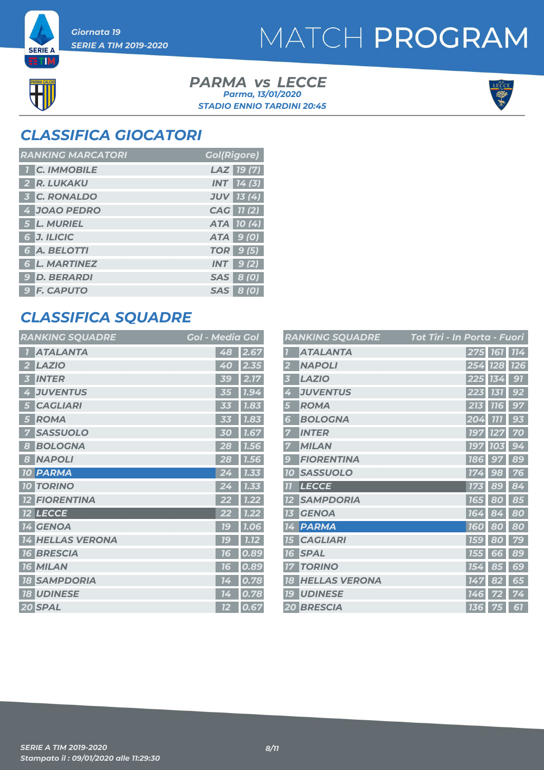# MATCH PROGRAM



**SERIE A** ETM

> *PARMA LECCE vs STADIO ENNIO TARDINI 20:45 Parma, 13/01/2020*



### *CLASSIFICA GIOCATORI*

| <b>RANKING MARCATORI</b> | <b>Gol(Rigore)</b> |
|--------------------------|--------------------|
| <b>T</b> C. IMMOBILE     | LAZ 19(7)          |
| 2 R. LUKAKU              | <b>INT</b> 14(3)   |
| <b>3 C. RONALDO</b>      | <b>JUV</b> 13 (4)  |
| 4 JOAO PEDRO             | CAG 11(2)          |
| 5 L. MURIEL              | ATA 10(4)          |
| 6 J. ILICIC              | ATA 9 (0)          |
| 6 A. BELOTTI             | <b>TOR</b> 9 (5)   |
| <b>6 L. MARTINEZ</b>     | $INT$ 9(2)         |
| <b>9 D. BERARDI</b>      | <b>SAS</b> 8 (0)   |
| <b>9 F. CAPUTO</b>       | SAS 8 (0)          |

### *CLASSIFICA SQUADRE*

| <b>RANKING SQUADRE</b>    | <b>Gol - Media Gol</b>         |
|---------------------------|--------------------------------|
| <b>ATALANTA</b>           | 48<br>2.67                     |
| <b>LAZIO</b><br>2         | 2.35<br>40                     |
| <b>INTER</b><br>3         | 2.17<br>39                     |
| <b>JUVENTUS</b><br>4      | 1.94<br>35                     |
| <b>CAGLIARI</b><br>15     | 1.83                           |
| <b>ROMA</b><br>5          | 1.83<br>33                     |
| <b>SASSUOLO</b>           | 1.67<br>30                     |
| <b>BOLOGNA</b><br>8       | 28<br>1.56                     |
| <b>NAPOLI</b><br>8        | 28<br><b>1.56</b>              |
| <b>PARMA</b><br><b>10</b> | 24<br>1.33                     |
| <b>TORINO</b><br>10       | 1.33                           |
| <b>FIORENTINA</b>         | 1.22                           |
| <b>12 LECCE</b>           | 1.22<br>22                     |
| <b>14 GENOA</b>           | 79<br>1.06                     |
| <b>14 HELLAS VERONA</b>   | $\overline{1.12}$<br><b>79</b> |
| <b>BRESCIA</b><br>76      | 0.89<br>76                     |
| <b>MILAN</b><br>71<br>6   | 0.89<br>76                     |
| <b>18 SAMPDORIA</b>       | 0.78<br>14                     |
| <b>18 UDINESE</b>         | 0.78<br>14                     |
| 20 SPAL                   | 0.67<br><u>12</u>              |

|           | <b>RANKING SQUADRE</b> | Tot Tiri - In Porta - Fuori |            |            |            |
|-----------|------------------------|-----------------------------|------------|------------|------------|
|           | <b>ATALANTA</b>        |                             | 275 161    |            | 114        |
|           | <b>NAPOLI</b>          |                             |            | 254 128    | <b>726</b> |
| 3         | <b>LAZIO</b>           |                             | 225        | 134        | 91         |
| 4         | <b>JUVENTUS</b>        |                             | 223        | 131        | 92         |
| 5         | <b>ROMA</b>            |                             | 213        | <b>116</b> | 97         |
| 6         | <b>BOLOGNA</b>         |                             | 204        | 777        | 93         |
|           | <b>INTER</b>           |                             | <b>197</b> | 127        | 70         |
|           | <b>MILAN</b>           |                             | <b>197</b> | 103        | 94         |
| 9         | <b>FIORENTINA</b>      |                             | <b>186</b> | 97         | 89         |
| <b>10</b> | <b>SASSUOLO</b>        |                             | 174        | 98         | 76         |
| 77        | <b>LECCE</b>           |                             | 173        | 89         | 84         |
|           | <b>SAMPDORIA</b>       |                             | <b>165</b> | 80         | 85         |
| 13        | <b>GENOA</b>           |                             | 164        | 84         | 80         |
| 14        | <b>PARMA</b>           |                             | <b>160</b> | 80         | 80         |
| 15        | <b>CAGLIARI</b>        |                             | <b>159</b> | 80         | 79         |
| 16        | <b>SPAL</b>            |                             | <b>155</b> | 66         | 89         |
| 77        | <b>TORINO</b>          |                             | 154        | 85         | 69         |
| 18        | <b>HELLAS VERONA</b>   |                             | 147        | 82         | 65         |
| 79        | <b>UDINESE</b>         |                             | <b>146</b> | 72         | 74         |
|           | 20 BRESCIA             |                             | 136        | 75         | 61         |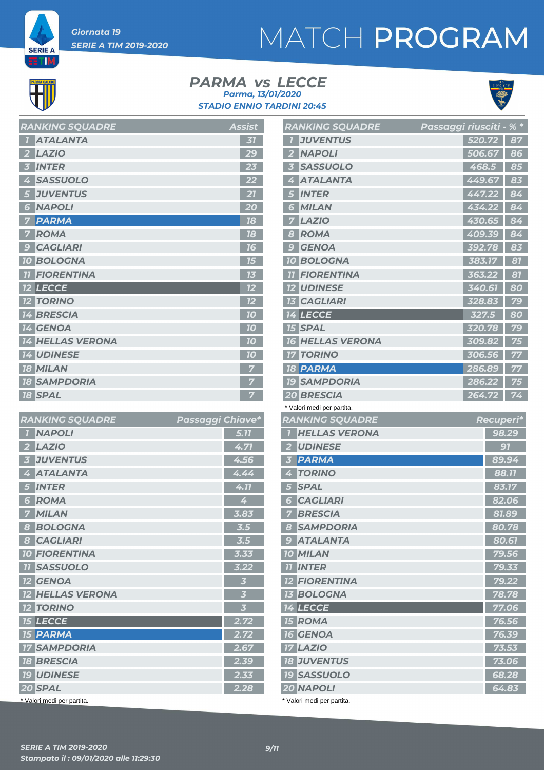# MATCH PROGRAM



**SERIE A** ETM,

#### *PARMA LECCE vs STADIO ENNIO TARDINI 20:45 Parma, 13/01/2020*



 *BOLOGNA 78.78 LECCE 77.06 ROMA 76.56 GENOA 76.39 LAZIO 73.53 JUVENTUS 73.06 SASSUOLO 68.28 NAPOLI 64.83*

| $\overline{1}$ | <b>ATALANTA</b>         | 31 |
|----------------|-------------------------|----|
| $\mathbf{2}$   | <b>LAZIO</b>            | 29 |
| 3 <sup>7</sup> | <b>INTER</b>            | 23 |
| 4              | <b>SASSUOLO</b>         | 22 |
| 5 <sub>5</sub> | <b>JUVENTUS</b>         | 21 |
|                | <b>6 NAPOLI</b>         | 20 |
| 7              | <b>PARMA</b>            | 18 |
| $\overline{7}$ | <b>ROMA</b>             | 18 |
| $\overline{9}$ | <b>CAGLIARI</b>         | 16 |
|                | <b>10 BOLOGNA</b>       | 15 |
|                | <b>11 FIORENTINA</b>    | 13 |
|                | <b>12 LECCE</b>         | 12 |
|                | <b>12 TORINO</b>        | 12 |
|                | <b>14 BRESCIA</b>       | 70 |
|                | 14 GENOA                | 10 |
|                | <b>14 HELLAS VERONA</b> | 10 |
|                | <b>14 UDINESE</b>       | 10 |
|                | <b>18 MILAN</b>         | 7  |
|                | <b>18 SAMPDORIA</b>     | 7  |
|                | <b>18 SPAL</b>          | 7  |

*RANKING SOUADRE* Assist

| <b>RANKING SQUADRE</b>                     | Passaggi Chiave* |                         |
|--------------------------------------------|------------------|-------------------------|
| <b>NAPOLI</b><br>$\overline{1}$            |                  | 5.77                    |
| <b>LAZIO</b>                               |                  | 4.71                    |
| <b>JUVENTUS</b><br>$\overline{\mathbf{3}}$ |                  | 4.56                    |
| <b>ATALANTA</b><br>4                       |                  | 4.44                    |
| <b>INTER</b><br>5                          |                  | 4.11                    |
| <b>ROMA</b><br>6                           |                  | 4                       |
| <b>MILAN</b><br>7                          |                  | 3.83                    |
| <b>BOLOGNA</b><br>8                        |                  | 3.5                     |
| <b>CAGLIARI</b><br>8                       |                  | 3.5                     |
| <b>10 FIORENTINA</b>                       |                  | 3.33                    |
| <b>11 SASSUOLO</b>                         |                  | 3.22                    |
| <b>12 GENOA</b>                            |                  | $\overline{\mathbf{3}}$ |
| <b>12 HELLAS VERONA</b>                    |                  | $\overline{\mathbf{3}}$ |
| <b>12 TORINO</b>                           |                  | $\overline{\mathbf{3}}$ |
| <b>15 LECCE</b>                            |                  | 2.72                    |
| <b>15 PARMA</b>                            |                  | 2.72                    |
| <b>17 SAMPDORIA</b>                        |                  | 2.67                    |
| <b>18 BRESCIA</b>                          |                  | 2.39                    |
| <b>19 UDINESE</b>                          |                  | 2.33                    |
| 20 SPAL                                    |                  | 2.28                    |
| * Valori medi per partita.                 |                  |                         |

|                          | <b>RANKING SQUADRE</b>     | Passaggi riusciti - <u>% *</u> |       |
|--------------------------|----------------------------|--------------------------------|-------|
| 7                        | <b>JUVENTUS</b>            | 520.72                         | 87    |
| $\overline{2}$           | <b>NAPOLI</b>              | 506.67                         | 86    |
| $\overline{3}$           | <b>SASSUOLO</b>            | 468.5                          | 85    |
| 4                        | <b>ATALANTA</b>            | 449.67                         | 83    |
| 5                        | <b>INTER</b>               | 447.22                         | 84    |
| 6                        | <b>MILAN</b>               | 434.22                         | 84    |
| 7                        | <b>LAZIO</b>               | 430.65                         | 84    |
| 8                        | <b>ROMA</b>                | 409.39                         | 84    |
| 9                        | <b>GENOA</b>               | 392.78                         | 83    |
|                          | <b>10 BOLOGNA</b>          | 383.17                         | 81    |
| $\overline{\mathcal{U}}$ | <b>FIORENTINA</b>          | 363.22                         | 87    |
|                          | <b>12 UDINESE</b>          | 340.61                         | 80    |
|                          | <b>13 CAGLIARI</b>         | 328.83                         | 79    |
|                          | <b>14 LECCE</b>            | 327.5                          | 80    |
|                          | <b>15 SPAL</b>             | 320.78                         | 79    |
| <b>16</b>                | <b>HELLAS VERONA</b>       | 309.82                         | 75    |
|                          | <b>17 TORINO</b>           | 306.56                         | 77    |
|                          | <b>18 PARMA</b>            | 286.89                         | 77    |
|                          | <b>19 SAMPDORIA</b>        | 286.22                         | 75    |
|                          | <b>20 BRESCIA</b>          | 264.72                         | 74    |
|                          | * Valori medi per partita. |                                |       |
|                          | <b>RANKING SQUADRE</b>     | <b>Recuperi*</b>               |       |
| $\overline{1}$           | <b>HELLAS VERONA</b>       |                                | 98.29 |
|                          | 2 UDINESE                  |                                | 91    |
| $\overline{\mathbf{3}}$  | <b>PARMA</b>               |                                | 89.94 |
| 4                        | <b>TORINO</b>              |                                | 88.11 |
| 5 <sup>1</sup>           | <b>SPAL</b>                |                                | 83.17 |

 *CAGLIARI 82.06 BRESCIA 81.89 SAMPDORIA 80.78 ATALANTA 80.61 MILAN 79.56 INTER 79.33*

| 3                       | <b>12 FIORENTINA</b>       |  | 79.22 |
|-------------------------|----------------------------|--|-------|
| 3                       | <b>13 BOLOGNA</b>          |  | 78.78 |
| $\overline{\mathbf{3}}$ | <b>14 LECCE</b>            |  | 77.06 |
| 2.72                    | <b>15 ROMA</b>             |  | 76.56 |
| 2.72                    | <b>16 GENOA</b>            |  | 76.39 |
| 2.67                    | <b>17 LAZIO</b>            |  | 73.53 |
| 2.39                    | <b>18 JUVENTUS</b>         |  | 73.06 |
| 2.33                    | <b>19 SASSUOLO</b>         |  | 68.28 |
| 2.28                    | 20 NAPOLI                  |  | 64.83 |
|                         | * Valori medi per partita. |  |       |
|                         |                            |  |       |
|                         |                            |  |       |
|                         |                            |  |       |
|                         | 9/11                       |  |       |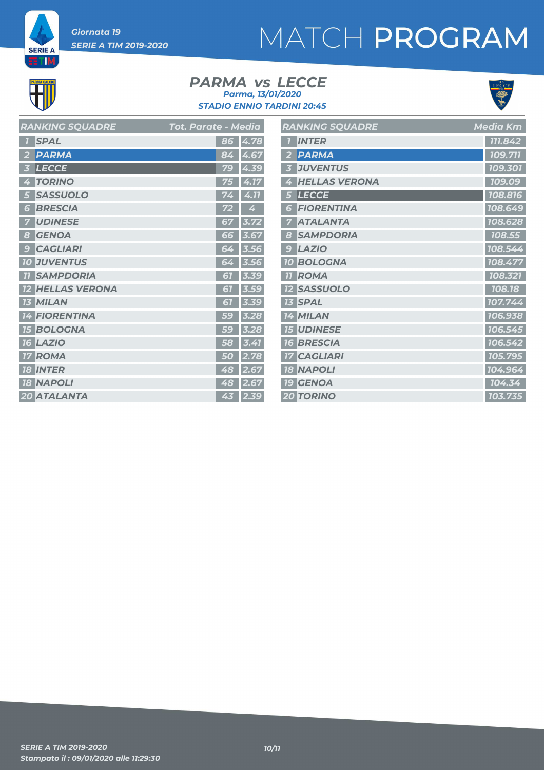# MATCH PROGRAM

**SERIE A ETIM** 

#### *PARMA LECCE vs STADIO ENNIO TARDINI 20:45 Parma, 13/01/2020*



| <b>RANKING SQUADRE</b>  | <b>Tot. Parate - Media</b> | <b>RANKING SQUADRE</b> | <b>Media Km</b> |
|-------------------------|----------------------------|------------------------|-----------------|
| <b>1 SPAL</b>           | 86 4.78                    | <b>1</b> INTER         | 111.842         |
| 2 PARMA                 | 84 4.67                    | 2 PARMA                | 109.711         |
| 3 LECCE                 | 79 4.39                    | <b>3 JUVENTUS</b>      | 109.301         |
| 4 TORINO                | 75 4.17                    | 4 HELLAS VERONA        | 109.09          |
| 5 SASSUOLO              | $74$ 4.11                  | 5 LECCE                | 108.816         |
| <b>6 BRESCIA</b>        | 4<br>72                    | <b>6 FIORENTINA</b>    | 108.649         |
| <b>7 UDINESE</b>        | $67$ 3.72                  | <b>7 ATALANTA</b>      | 108.628         |
| 8 GENOA                 | $66$ 3.67                  | 8 SAMPDORIA            | 108.55          |
| <b>9 CAGLIARI</b>       | $64$ 3.56                  | $9$ $LAZIO$            | 108.544         |
| <b>10 JUVENTUS</b>      | 64 3.56                    | <b>10 BOLOGNA</b>      | 108.477         |
| <b>11 SAMPDORIA</b>     | $61$ 3.39                  | <b>11 ROMA</b>         | 108.321         |
| <b>12 HELLAS VERONA</b> | $61$ 3.59                  | <b>12 SASSUOLO</b>     | 108.18          |
| <b>13 MILAN</b>         | $61$ 3.39                  | <b>13 SPAL</b>         | 107.744         |
| <b>14 FIORENTINA</b>    | $59$ 3.28                  | 14 MILAN               | 106.938         |
| <b>15 BOLOGNA</b>       | $59$ 3.28                  | <b>15 UDINESE</b>      | 106.545         |
| <b>16 LAZIO</b>         | $\overline{58}$ 3.41       | <b>16 BRESCIA</b>      | 106.542         |
| <b>17 ROMA</b>          | 50 2.78                    | <b>17 CAGLIARI</b>     | 105.795         |
| <b>18 INTER</b>         | 48 2.67                    | <b>18 NAPOLI</b>       | 104.964         |
| <b>18 NAPOLI</b>        | 48 2.67                    | <b>19 GENOA</b>        | 104.34          |
| 20 ATALANTA             | 43 2.39                    | <b>20 TORINO</b>       | 103.735         |